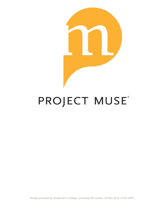

# PROJECT MUSE®

Access provided by Goldsmith's College, University Of London (19 Mar 2013 10:35 GMT)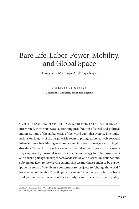# Bare Life, Labor-Power, Mobility, and Global Space

Toward a Marxian Anthropology?

Nicholas De Genova **Goldsmiths, University of London, England**

OVER THE LAST FEW YEARS, WE HAVE WITNESSED, PARTICIPATED IN, AND interpreted, in various ways, a stunning proliferation of social and political manifestations of the global crisis of the world capitalist system. The multifarious onslaughts of the larger crisis seem to plunge us collectively forward into ever more bewildering new predicaments, if not submerge us in outright disasters. Yet, we have nonetheless rediscovered and reinvigorated, in various ways, apparently dormant resources of creative energy for a heterogeneous and dazzling array of insurgent acts of desertion and dissension, defiance and subversion. Even to the varying extents that we may have sought to be participants in some of the diverse contemporary projects to "change the world," however—not merely as "participant observers," in other words, but as observant partisans—we have nonetheless only begun, I suspect, to adequately

CR: The New Centennial Review, Vol. 12, No. 3, 2012, pp. 129-152. ISSN 1532-687x. © 2012 Michigan State University Board of Trustees. All rights reserved.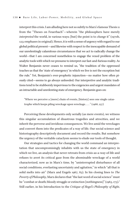interpret this crisis. I am alluding here not so subtly to Marx's famous Thesis 11 from the "Theses on Feuerbach"—wherein "the philosophers have merely *interpreted* the world, in various ways; [but] the point is to *change* it" (1970b, 123; emphases in original). Hence, it is with a sense of urgency with regard to our global political present—and likewise with respect to the inescapable demand of our unrelentingly calamitous circumstances that we act to radically change the world—that I am concerned nonetheless to engage the vexed problem of the analytic tools with which we presume to interpret our fast-and-furious reality. As Walter Benjamin never ceases to remind us, "the tradition of the oppressed teaches us that the 'state of emergency' in which we live is not the exception but the rule." Yet, Benjamin's ever-prophetic injunction—no matter how often piously cited—seems to go always unheeded. Our interpretive and analytic traditions tend to be stubbornly impervious to the exigencies and urgent mandates of an intractable and unrelenting state of emergency. Benjamin goes on:

"Where we perceive a [mere] chain of events, [history] sees one single catastrophe which keeps piling wreckage upon wreckage...." (1968, 257)

Perceiving these developments only serially (as mere events), we witness this singular accumulation of disastrous tragedies and atrocities, and we inherit the perverse and invidious consequences. We live amid the wreckages and convert them into the predicates of a way of life. Our social science and historiography descriptively document and record the results. But somehow the urgency of the veritable cataclysm seems to elude our tools of thought.

Our strategies and tactics for changing the world command an interpretation that uncompromisingly inhabits with us the state of emergency in which we live, an analysis that never retreats from crisis-as-a-way-of-life and refuses to avert its critical gaze from the abominable wreckage of a world characterized, now as in Marx's time, by "uninterrupted disturbance of all social conditions, everlasting uncertainty and agitation," in which "all that is solid melts into air" (Marx and Engels 1967, 83). In his closing lines to *The Poverty of Philosophy,* Marx declares that "the last word of social science" must be "combat or death; bloody struggle or extinction [nothingness]"  $(1963, 175)$ .<sup>1</sup> Still earlier, in his Introduction to the *Critique of Hegel's Philosophy of Right*,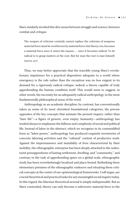Marx similarly invoked this dire nexus between struggle and science, between combat and critique:

The weapon of criticism certainly cannot replace the criticism of weapons; material force must be overthrown by material force; but theory, too, becomes a material force once it seizes the masses... once it becomes radical. To be radical is to grasp matters at the root. But for man the root is man himself. (1970a, 137)

Thus, we may better appreciate that the irascible young Marx's revolutionary impatience for a practical disposition adequate to a world where emergency is the rule rather than the exception was no less exigent in its demand for a rigorously radical critique, indeed, a theory capable of truly apprehending the human condition itself. This would seem to suggest, in other words, the necessity for an adequately radical *anthropology*, in the most fundamentally philosophical sense of the word.

Anthropology as an academic discipline, by contrast, has conventionally taken as some of its most cherished foundational categories, the precise opposites of the key concepts that animate the present inquiry: rather than "bare life"—a figure of generic, even empty, humanity—anthropology has tended always to emphasize the fullness and complexity of social and political life. Instead of labor in the abstract, which we recognize in its commodified form as "labor-power," anthropology has produced exquisite inventories of concrete laboring activities and the "cultural" content of productive work. Against the impermanence and mutability of lives characterized by their mobility, the ethnographic enterprise has been deeply attached to the sedentarist presuppositions of lasting settlement, dwelling, and "community," and contrary to the task of apprehending space on a global scale, ethnographic study has been overwhelmingly localized and place-bound. Rethinking these elementary premises of the ethnographic endeavor and situating these critical concepts at the center of our epistemological frameworks, I will argue, are crucial theoretical and practical tasks for any meaningful social inquiry today. In this regard, the Marxian theoretical arsenal is simply indispensable. But as Marx contended, theory can only become a subversive material force to the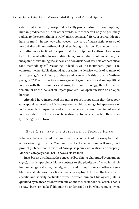extent that it can truly grasp and critically problematize the contemporary human predicament. Or, in other words, our theory will only be genuinely radical to the extent that it is truly "anthropological." Here, of course, I do not have in mind—in any way whatsoever—any sort of narcissistic exercise of morbid disciplinary anthropological self-congratulation. To the contrary. I am rather more inclined to expect that the discipline of anthropology as we know it, like all other forms of disciplinary knowledge, would most likely be incapable of sustaining the shocks and convulsions of this sort of theoretical (and methodological) reckoning. Indeed, it will be incumbent upon us to confront the inevitable demand, as posed in the derisive words of so many of anthropology's disciplinary forebears and overseers: Is this properly "anthropological"? The prospective convergence of genuinely critical sociopolitical inquiry with the techniques and insights of anthropology, therefore, must remain for us the locus of an urgent problem—an open question on an open horizon.

Already I have introduced the rather robust proposition that these four conceptual terms—bare life, labor-power, mobility, and global space—are of indispensable interpretive and critical salience for any meaningful social inquiry today. It will, therefore, be instructive to consider each of these analytic categories in turn.

#### BARE LIFE-AND THE AFTERLIFE OF SPECIES BEING

Whereas I have affiliated the four organizing concepts of this essay to what I am designating to be the Marxian theoretical arsenal, some will surely and promptly object that the idea of *bare life* is plainly not a strictly or properly Marxian category at all. Let us have a closer look.

In its barest distillation, the concept of bare life, as elaborated by Agamben (1995), is only apprehensible in contrast to the plenitude of ways in which human beings really live, namely, within and through one or another ensemble of social relations. Bare life is then a conceptual foil for all the historically specific and socially particular forms in which human ("biological") life is qualified by its inscription within one or another sociopolitical order. That is to say, "bare" or "naked" life may be understood to be what remains when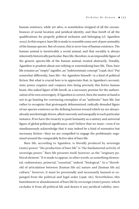human existence, while yet alive, is nonetheless stripped of all the encumbrances of social location and juridical identity, and thus bereft of all the qualifications for properly political inclusion and belonging (cf. Agamben 2002). In this respect, bare life is made to resemble some sort of pure animality of the human species. But of course, this is *never*true of human existence. The human animal is inextricably a social animal, and that sociality is always inherently historically particular. Bare life, therefore, is an impossible figure of the generic species-life of the human animal, treated abstractly. Notably, Agamben is prudent about not reifying or essentializing bare life. Thus, bare life remains an "empty" signifier, an "indeterminate concept" (1998, 182).<sup>2</sup> Put somewhat differently, bare life—for Agamben himself—is a kind of political fiction. But what is crucial here is to appreciate that, in Agamben's account, state power requires and conjures into being precisely this fictive human beast, this naked figure of life bereft, as a necessary premise for the authorization of its own sovereignty. If Agamben is correct, then the matter at hand is not to go hunting for convincing exemplars of an "authentic" bare life, but rather to recognize that grotesquely dehumanized, radically denuded figure of our species-existence as the defining horizon toward which we are alwaysalready unrelentingly driven, albeit unevenly and unequally in each particular instance. If we have the tenacity to posit humanity as a unitary and universal figure of global political significance, and I believe that we must—even if we simultaneously acknowledge that it may indeed be a kind of normative but necessary fiction—then we are compelled to engage the problematic organized around the comparably fictive idea of bare life.

Bare life, according to Agamben, is literally *produced* by sovereign (state) power: "the production of bare life" is "the fundamental activity of sovereign power." Bare life presents itself, however, as the "originary political element." It is made to appear, in other words, as something elemental, rudimentary, primeval, "essential," indeed, "biological." As a "threshold of articulation between [human life as] nature and [human life as] culture," however, it must be perennially and incessantly banned or expunged from the political and legal order (1998, 181). Nevertheless, this banishment or abandonment of bare life by sovereign (state) power, which excludes it from all political life and denies it any juridical validity, ines-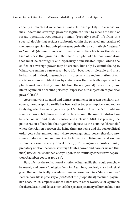capably implicates it in "a continuous relationship" (183). In a sense, we may understand sovereign power to legitimate itself by means of a kind of rescue operation, recuperating human (properly social) life from this spectral double that resides stubbornly within the physical materiality of the human species, but only phantasmagorically, as a putatively "natural" or "animal" (debased) mode of (human) being. Bare life is for the state a kind of excess that grounds it, the shadowy cipher of a human foundation that must be thoroughly and rigorously domesticated, upon which the edifice of sovereign power may be erected, but only by cannibalizing it. Whatever remains as an excess—bare life—becomes intolerable, and must be banished. Indeed, inasmuch as it is precisely the regimentation of our social relations and identities by state power that radically separates the phantom of our naked (animal) life from the real (social) lives we lead, bare life in Agamben's account perfectly "expresses our subjection to political power" (182).<sup>3</sup>

Accompanying its rapid and diffuse prominence in recent scholarly discourse, the concept of bare life has been rather too presumptively and reductively degraded to a mere figure of abject "exclusion." Agamben's formulation is rather more subtle, however, as it revolves around "the zone of indistinction between outside and inside, exclusion and inclusion" (181). It is precisely the politicization of bare life that Agamben depicts as the defining "threshold" where the relation between the living (human) being and the sociopolitical order gets substantiated, and where sovereign state power therefore presumes to decide upon and inscribe the humanity of living men and women within its normative and juridical order (8). Thus, Agamben posits a frankly predatory relation between sovereign (state) power and bare or naked (human) life, which is founded always upon their mutually constitutive separation (Agamben 2000, 4; 2005, 87).

Bare life—as the reification of a notion of human life that could somehow be merely and purely "biological"—is, for Agamben, precisely *not* a biological given that ontologically precedes sovereign power, as if in a "state of nature." Rather, bare life is precisely a "*product* of the [biopolitical] machine" (Agamben 2005, 87–88; emphasis added). Bare life, in other words, is for Agamben the degradation and debasement of the species specificity of human life. Bare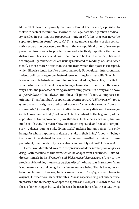life is "that naked supposedly common element that is always possible to isolate in each of the numerous forms of life"; against this, Agamben's radicality resides in positing the prospective horizon of "a life that can never be separated from its form" (2000, 3).<sup>4</sup> Thus, Agamben's analysis of this constitutive separation between bare life and the sociopolitical order of sovereign power aspires always to problematize and effectively repudiate that same distinction. This is a crucial point that tends to be lost in more depoliticized readings of Agamben, which are usually restricted to readings of *Homo Sacer* (1998), a more esoteric text than the one from which this quote is excerpted, which likewise lends itself to a more narrowly Foucauldean interpretation. Indeed, politically, Agamben instead seeks nothing less than a life "in which it is never possible to isolate something such as naked [or, 'bare'] life,...a life for which what is at stake in its way of living is living itself . . . in which the single ways, acts, and processes of living are never simply *facts* but always and above all *possibilities* of life, always and above all power" (2000, 4; emphases in original). Thus, Agamben's propositions gesture toward "a *life of power*" (2000, 9; emphases in original) predicated upon an "irrevocable exodus from any sovereignty," (2000, 8) an emancipation from the very division of sovereign (state) power and naked ("biological") life. In contrast to the hegemony of the separation between power and (bare) life, he infact detects a distinctly human mode of life that, "no matter how customary, repeated, and socially compulsory . . . always puts at stake living itself," making human beings "the only beings for whom happiness is always at stake in their living" (2000, 4) "beings that cannot be defined by any proper operation—that is, beings of pure potentiality that no identity or vocation can possibly exhaust" (2000, 141).

Here, I would contend, we are in the presence of Marx's conception of*species being*. With recourse to this term, which he adapts from Feuerbach, Marx addresses himself in his *Economic and Philosophical Manuscripts of 1844* to the problem of theorizing the speciesparticularity of thehuman.AsMarxnotes, "man is not merely a natural being; he is a *human* natural being. That is to say, he is a being for himself. Therefore, he is a *species being* ..." (1964, 182; emphases in original). Furthermore,Marxelaborates, "Manisa species being, not only because in practice and in theory he adopts the species as his object (his own as well as those of other things), but... also because he treats himself as the actual, living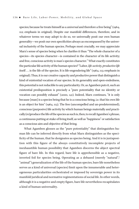species; because he treats himself as a *universal* and therefore a free being" (1964, 112; emphasis in original). Despite our manifold differences, therefore, and in whatever terms we may adopt to do so, we universally posit our own human generality—we posit our own specificities always as encompassed by the universal inclusivity of the human species. Perhaps most crucially, we may appreciate Marx's sense of species being when he clarifies it thus: "The whole character of a species—its species character—is contained in the character of its life activity; and free, conscious activity is man's species character." What exactly constitutes the particular life activity of the human species? "Labor, *life-activity, productive life* itself . . . is the life of the species. It is life-engendering life" (1964, 113; emphasis in original). Thus, it is our creative capacity and productive power that distinguish a kind of existential vocation of our species. In its generality and open-endedness, this potentialis not reducible to any particularity.Or, as Agamben putsit, such an existential predisposition is precisely a "pure potentiality that no identity or vocation can possibly exhaust" (2000, 141). Indeed, Marx continues, "it is only because [man] is a species being that he is a conscious being, i.e. that his own life is an object for him" (1964, 113). The free (uncompelled and un-predetermined), conscious (purposive) life activity by which human beings materially and practically (re)produce the life of the species as such is, then, to recall Agamben's phrase, a continuous putting at stake of living itself, as well as "happiness" or satisfaction as a conscious aim and objective of that living.

What Agamben glosses as the "pure potentiality" that distinguishes human life can be inferred directly from what Marx distinguishes as the speci ficity of the human, that he designates as species being. And it is in juxtaposition with this figure of the always constitutively incomplete projects of inexhaustible human possibility that Agamben discerns the abject spectral figure of bare life. In this regard, bare life is apprehensible as a negative, inverted foil for species being. Operating as a debased (merely "natural"/ "animal") generalization of the life of the human species, bare life nonetheless serves as a kind of universal (species) limit upon the innumerable and heterogeneous particularities orchestrated or imposed by sovereign power in its manifold juridical and normative regimentations of social life. In other words, although it is a negative and empty figure, bare life nevertheless recapitulates a kind of human universality.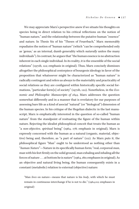We may appreciate Marx's perspective anew if we situate his thoughts on species being in direct relation to his critical reflections on the notion of "human nature," and the relationship between the putative human "essence" and nature. In Thesis Six of his "Theses of Feuerbach," Marx memorably repudiates the notion of "human nature" (which "can be comprehended only as 'genus,' as an internal, dumb generality which *naturally* unites the many individuals"). In contrast, he argues that "the human essence is no abstraction inherent in each single individual. In its reality, it is the ensemble of the social relations" (1970b, 122; emphasis in original). Thus, Marx concisely dismisses altogether the philosophical centerpiece of bourgeois ideology in favor of the proposition that whatsoever might be characterized as "human nature" is radically contingent and refers us always to the materiality and practicality of social relations as they are configured within historically specific social formations, "particular form[s] of society" (1970b, 122). Nonetheless, in the *Economic and Philosophic Manuscripts of 1844*, Marx addresses the question somewhat differently and in a manner that is revelatory for our purposes of assessing bare life as a kind of asocial "natural" (or "biological") dimension of the human species. In his critique of the Hegelian dialectic in the last manuscript, Marx is emphatically interested in the question of so-called "human nature" from the standpoint of resituating the figure of the human within nature. Rejecting the idealist philosophical conceit that treats the human as "a *non-objective, spiritual* being" (1964, 178; emphasis in original), Marx is expressly concerned with the human as a natural (organic, material, objective) being and, therefore, as "a part of nature" (112). As Marx puts it, the philosophical figure "Man" ought to be understood as nothing other than "*human Nature*"—Nature in its specifically human form; "real, corporeal *man*, man with his feet firmly on the solid ground, man exhaling and inhaling all the forces of nature . . . at bottom he is *nature*" (1964,180; emphases in original). As an objective and natural living being, the human consequently exists in a constant (metabolic) relation to external (objective) nature:

"Man *lives* on nature—means that nature is his *body*, with which he must remain in continuous interchange if he is not to die." (1964,112; emphases in original)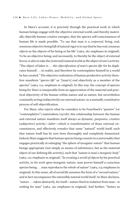In Marx's account, it is precisely through the practical work in which human beings engage with the objective external world, and thereby materially objectify human creative energies, that the species self-consciousness of human life is made possible. "To say that man is a *corporeal*, living, real, sensuous objective beingfull of natural vigor is to say that he has *real, sensuous objects* as the objects of his being or his life" (1964, 181; emphases in original). To be an objective being, and necessarily, to thereby be the object of external forces, is also to take the (external) natural world as the object of one's activity. "The object of labor is ... the *objectification of man's species life:* for he duplicates himself . . . in reality, and therefore he contemplates himself in a world he has created." The objective realization of human productive activity therefore manifests "*species life*" as "[man's] real objectivity as a member of the species" (1964, 114; emphasis in original). In this way, the concept of species being for Marx is inseparable from an appreciation of the material and practical objectivity of the human within nature and as nature, but nevertheless constantly acting (subjectively) on external nature, in a mutually constitutive process of self-objectification.

For Marx, who rejects what he considers to be Feuerbach's "passive" (or "contemplative") materialism (1970b), this relationship between the human and external nature manifests itself always as dynamic, purposive, creative (subjective) activity—*labor*—which is transformative of those external circumstances, and effectively *remakes* that same "natural" world itself, such that nature itself has by now been thoroughly and completely *humanized*. Indeed,Marx suggests that human species being consists in a universality that engages practically in enlarging "the sphere of inorganic nature" that human beings appropriate (not simply as means of subsistence, but as the material object of our defining life activity), such that "nature is man's *inorganic body*" (1964, 112; emphasis in original). "In creating a *world of objects* by his practical activity, in *his work upon* inorganic nature, man proves himself a conscious species being . . . man reproduces the whole of nature" (1964, 113; emphases in original). In this sense, all of social life assumes the form of a "second nature," and in fact encompasses the ostensibly natural world itself. As Marx declares, "*nature* ... taken abstractly, for itself—nature fixed in isolation from man—is *nothing* for man" (1964, 191; emphases in original). And further: "*Nature as*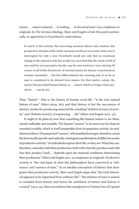*nature* . . . nature isolated . . . is *nothing* . . . is *devoid of sense*" (192; emphases in original). In *The German Ideology*, Marx and Engels revisit this point polemically, in opposition to Feuerbach's materialism:

So much is this activity, this unceasing sensuous labour and creation, this production, the basis of the whole sensuous world as it now exists, that, were it interrupted for only a year, Feuerbach would not only find an enormous change in the natural world, but would very soon find that the whole world of men and his own perceptive faculty, nay his own existence, were missing. Of course, in all of this the priority of external nature [to human consciousness] remains unassailed . . . but this differentiation has meaning only in so far as man is considered to be distinct from nature. For that matter, nature, the nature that preceded human history, is... nature which no longer exists anywhere.... (1970b, 63)

Thus, "history"—that is, the history of human *social* life—"is the true natural history of man," (Marx 1970a, 182), and that history is but the succession of  $distinct$  modes for producing material life, entailing "definite form[s] of activity" and "definite form[s] of expressing... life" (Marx and Engels 1970, 42).

It ought to be plain by now that something like human nature is, for Marx, utterly malleable and mutable. The human "essence" is no more nor less than its essential sociality, which is itself inseparable from its purposive activity, its multifarious labors. The purported "essence" of humankind emerges, therefore, as but the historically specific and radically contingent manifestation of different modes of productive activity: "Asindividuals express their life, so they are.What they are, therefore, coincides with their production, both with*what*they produce and with *how* they produce [and]... depends upon the material conditions determining their production" (Marx and Engels 1970, 42; emphases in original). Productive activity is "the real basis of what the philosophers have conceived as 'substance' and 'essence of man.'" In an idealist conception of history that denigrates that productive activity, Marx and Engels argue that "the truly historical appears to be separated from ordinary life": "the relation of man to nature is excluded from history and hence the antithesis of nature and history is created" (1970, 59). Marx reconfirms this standpoint in Volume One of *Capital*: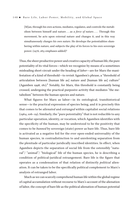[M]an, through his own actions, mediates, regulates, and controls the metabolism between himself and nature . . . as *a force of nature*.... Through this movement, he acts upon external nature and changes it, and in this way simultaneously *changes his own nature*. He develops the potentialities slumbering within nature, and subjects the play of its forces to his own sovereign power. (1976, 283; emphases added)<sup>5</sup>

Thus, the sheer productive power and creative capacity of human life, the pure potentiality of its vital forces—which we recognize by means of a sometimes misleading short-circuit under the heading of *labor*—are for Marx the manifestation of a kind of threshold—to revisit Agamben's phrase, a "threshold of articulation between [human life as] nature and [human life as] culture" (Agamben 1998, 181).<sup>6</sup> Notably, for Marx, this threshold is constantly being crossed, undergoing the practical purposive activity that mediates "the metabolism" between the human species and nature.

What figures for Marx as labor—in its ontological, transhistorical sense—is the practical expression of species being, and it is precisely this that comes to be *alienated* and *estranged* within capitalist social relations (1964, 106–19). Similarly, the "pure potentiality" that is not reducible to any particular operation, identity, or vocation, which Agamben identifies with the specificity of the human, may be understood to be the positivity that comes to be *banned* by sovereign (state) power as bare life. Thus, bare life is activated as a negative foil for the ever open-ended universality of the human species, in contradistinction to and unrelenting separation from the plenitude of particular juridically inscribed identities. In effect, when Agamben depicts the separation of social life from the ostensibly "natural"/ "animal"/ "biological" life of the human species, he is describing a condition of political-juridical estrangement. Bare life is the figure that operates as a condensation of that relation of distinctly *political* alienation. It can be taken to be the specifically political complement to Marx's analysis of estranged labor.

Much as we can scarcely comprehend human life within the global regime of capital accumulation without recourse to Marx's account of the alienation of labor, the concept of bare life as the political alienation of human potential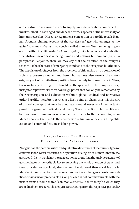and creative power would seem to supply an indispensable counterpart. It invokes, albeit in estranged and debased form, a specter of the universality of human species life. Moreover, Agamben's conception of bare life recalls Hannah Arendt's chilling account of the stateless refugee who emerges as the awful "specimen of an animal species, called man"—a "human being in general ... without a citizenship" (Arendt 1968, 302) who enacts and embodies "the abstract nakedness of being human and nothing but human" (297). To paraphrase Benjamin, then, we may say that the tradition of the refugees teaches us that the state of emergency is indeed not the exception but the rule. The expulsion of refugees from the precincts of citizenship into a condition of violent exposure as naked and bereft humanness also reveals the state's originary act of cannibalism, positing bare life only to domesticate it. Thus, the resurfacing of the figure of bare life in the spectacle of the refugees' misery instigates repetitive crises for sovereign power that can only be remediated by their reinscription and subjection within a global juridical and normative order. Bare life, therefore, operates as a flash point, an alarm; thus, it is the sort of critical concept that may be adequate to—and necessary for—the tasks posed for a genuinely radical social theory. The abstraction of human life as a bare or naked humanness now refers us directly to the decisive figure in Marx's analysis that entails the abstraction of human labor and its objectification and commodification as labor-power.

### LABOR-POWER: THE PHANTOM O BJECTIVITY OF A BSTRACT L ABOR

Alongside all the particularities and qualitative differences of the various types of concrete labor, Marx discerned the operation of a figure of human labor in the abstract. In fact, it would not be exaggeration to argue that the analytic category of abstract labor is the veritable key to unlocking the whole question of value, and thus, provides an absolutely decisive and foundational theoretical feature in Marx's critique of capitalist social relations. For the exchange-value of commodities remains incomprehensible as long as each is not commensurable with the next in terms of some shared "common element...a third thing" to which they are reducible (1976, 127). This requires abstracting from the respective particular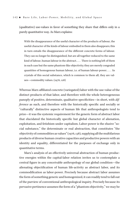(qualitative) use-values in favor of something they share that differs only in a purely quantitative way. As Marx explains:

With the disappearance of the useful character of the products of labour, the useful character of the kinds of labour embodied in them also disappears; this in turn entails the disappearance of the different concrete forms of labour. They can no longer be distinguished, but are all together reduced to the same kind of labour, human labour in the abstract.... There is nothing left of them in each case but the same phantom-like objectivity; they are merely congealed quantities of homogenous human labour, i.e. of human labour-power. . . . As crystals of this social substance, which is common to them all, they are values—commodity values. (1976, 128)

Whereas Marx affiliated concrete (variegated) labor with the use-value of the distinct products of that labor, and therefore with the whole heterogeneous panoply of positive, determinate, qualitative specificities—in short, with *difference* as such, and therefore with the historically specific and socially or "culturally" distinctive aspects of human life that anthropologists tend to prize—it was the systemic requirement for the generic form of abstract labor that elucidated the historically specific but global character of alienation, exploitation, and fetishism under capitalism. Labor-power is the elusive "social substance," the determinate or real abstraction, that constitutes "the objectivity of commodities as values" (1976,138), supplying all themultifarious products of diverse human creative capacities and productive powers with an identity and equality, differentiated for the purposes of exchange only in quantitative terms.

Marx's analysis of an effectively universal abstraction of human productive energies within the capital-labor relation invites us to contemplate a central figure in any conceivable anthropology of our global condition—the alienating objectification of human life-activity as abstract labor, and its commodification as labor-power. Precisely because abstract labor assumes the form of something generic and homogenized, it can readily tend to fall out of the purview of conventional anthropological inquiry. Precisely because its pervasive pertinence assumes the form of a "phantom objectivity," we may be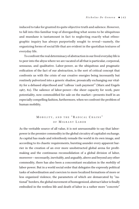induced to take for granted its quite objective truth and salience. However, to fall into this familiar trap of disregarding what seems to be ubiquitous and mundane is tantamount in fact to neglecting exactly what ethnographic inquiry has always purportedly sought to reveal—namely, the organizing forms of social life that are evident in the quotidian textures of everyday life.

To confront the real determinacy of abstraction in our lived everyday life is to peer into the abyss where we are vacated of all that is particular, corporeal, sensuous, and qualitative. Labor-power, as the ubiquitous and pragmatic reification of the fact of our abstraction, is the sort of critical concept that confronts us with the crisis of our creative energies being incessantly but routinely pulverized into a generic shadow, prosaically exchanging our vitality for a debased objecthood and "callous 'cash payment'" (Marx and Engels 1967, 82). The salience of labor-power—the sheer capacity for work, pure potentiality, now commodified for sale on the market—presents itself in an especially compelling fashion, furthermore, when we confront the problem of human mobility.

## M OBILITY , AND THE " R ADICAL C HAINS " OF MIGRANT LABOR

As the veritable source of all value, it is not unreasonable to say that laborpower is the premier commodity in the global circuitry of capitalist exchange. As capital has made and relentlessly remade the world in its own image, and according to its chaotic requirements, bursting asunder every apparent barrier in the creation of an ever more unobstructed global arena for profitmaking and the continuous reconsolidation of a global division of labor, moreover—necessarily, inevitably, and arguably, above and beyond any other commodity, there has also been a concomitant escalation in the *mobility* of labor-power. But in a world social order that delegates the expressly political tasks of subordination and coercion to more localized formations of more or less organized violence, the parameters of which are demarcated by "national" borders, the global movement of homogenized, abstract labor is finally embodied in the restless life and death of labor in a rather more "concrete"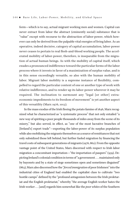form—which is to say, actual migrant working men and women. Capital can never extract from labor the abstract (eminently social) substance that is "value" except with recourse to the abstraction of labor-power, which however can only be derived from the palpable vital energies of living labor. As an operative, indeed decisive, category of capital accumulation, labor-power never ceases to pertain to real flesh-and-blood working people. The accelerated mobility of labor-power, therefore, is inseparable from the migration of actual human beings. As with the mobility of capital itself, which exudes a pronounced indifference toward the particular forms of the labor process where it invests in favor of a maximization of surplus value, and is in this sense exceedingly versatile, so also with the human mobility of labor. Migrant labor mobility is a supreme instance of flexibility, compelled to regard the particular content of one or another type of work with relative indifference, and to render up its labor-power wherever it may be required. The inclination to surmount any "legal [or other] extraeconomic impediments to its freedom of movement" is yet another aspect of this versatility (Marx 1976, 1013).

In the mass exodus of the Irish fleeing the potato famine of 1846, Marx recognized what he characterized as "a systematic process" that not only entailed "a new way of spiriting a poor people thousands of miles away from the scene of its misery," but also served, in effect, as "one of the most lucrative branches of [Ireland's] export trade"—exporting the labor-power of its surplus population while also mobilizing the migrants themselves as a source of remittances that not only subsidized those left behind, but further fueled migration by financing the travel costs of subsequent generations of migrants (1976, 862). From the opposite vantage point of the United States, Marx discerned with respect to Irish labor migration a concomitant importation—"the importation of paupers" (939). Depicting Ireland's colonial condition in terms of "a government... maintained only by bayonets and by a state of siege sometimes open and sometimes disguised" (863),Marx also discerned how the "*forcedimmigration*of poor Irishmen"into the industrial cities of England had enabled the capitalist class to cultivate "two hostile camps" defined by the "profound antagonism between the Irish proletariat and the English proletariat," whereby "the average English worker hates the Irish worker... [and] regards him somewhat like the *poor whites* of the Southern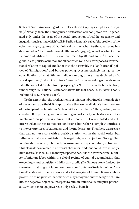States of North America regard their black slaves" (1971, 254; emphases in original).7 Notably, then, the homogenized abstraction of labor-power can be generated only under the aegis of the social production of real heterogeneity and inequality, such as that which W. E. B. Du Bois famously called "the problem of the color line" (1900, 95, 104; cf. Du Bois 1969, xi), or what Partha Chatterjee has designated as "the rule of colonial difference" (1993,10), as well as what Carole Pateman identifies as "the sexual contract" (1988), and so on.<sup>8</sup> Hence, the global class politics of human mobility, which routinely transposes a transnational relation of capital and labor into the ostensibly insular "national" politics of "immigration" and border policing, ever increasingly instigates the consolidation of what Étienne Balibar (among others) has depicted as "a world apartheid," which institutes a "color bar" that now no longer merely separates the so-called "center" from "periphery," or North from South, but effectively runs through *all* "national" state formations (Balibar 2002, 82; cf. Nevins 2008; Richmond 1994; Sharma 2006).

To the extent that the predicaments of migrant labor invoke the analogies of slavery and apartheid, it is appropriate that we recall Marx's identification of the incipient proletariat as "a class with radical chains." Here, indeed, was a class bereft of property, with no standing in civil society, no historical entitlements, and no particular claims, that embodied not a one-sided and selfinterested antithesis to modern conditions, but rather a complete antithesis to the very premises of capitalism and the modern state. Thus, here was a class that was not an estate with a positive station within the social order, but rather one that was constituted only negatively, as an abject and "foreign" but inextricable presence, inherently corrosive and always potentially subversive. This class alone revealed "a universal character" and thus could invoke "only a human title" (1970a, 141). In many respects, then, it is the transnational mobility of migrant labor within the global regime of capital accumulation that exceedingly and exquisitely fulfills this profile (De Genova 2010). Indeed, to the extent that migrant labor commonly confronts territorially-defined "national" states with the raw force and vital energies of human life—as laborpower—with no juridical sanction, we may recognize anew the figure of bare life, the negative, abject counterpart to human universality and pure potentiality, which sovereign power can only seek to banish.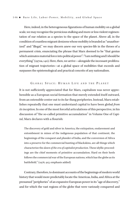Here, indeed, in the heterogeneous figurations of human mobility on a global scale, we may recognize the pernicious stalking and more or less violent regimentation of our relation as a species to the space of the planet. Above all, in the condition ofcountlessmigrant denizenswhosemobilityis brandedas "unauthorized" and "illegal," we may discern anew our very species-life in the throes of a permanent crisis, enunciating the phrase that Marx deemed to be "that genius which animates material force into political power": "I am nothing and I should be everything" (1970a,140). Here, then, we arrive—alongside the incessant proliferation of migrant trajectories—at a global space of mobilities that exceeds and surpasses the epistemological and practical conceits of any nationalism.

#### GLOBAL SPACE: HUMAN LIFE AND THE PLANET

It is not sufficiently appreciated that for Marx, capitalism was never apprehensible as a European social formation that merely extended itself outward, from an ostensible center out to its far-flung peripheries. Instead, Marx establishes repeatedly that one must understand capital to have been global *from its inception*. In one of the most forceful articulations of this perspective, in his discussion of "the so-called primitive accumulation" in Volume One of *Capital*, Marx declares with a flourish:

The discovery of gold and silver in America, the extirpation, enslavement and entombment in mines of the indigenous population of that continent, the beginnings of the conquest and plunder of India, and the conversion of Africa into a preserve for the commercial hunting of blackskins, are all things which characterize the *dawn of the era of capitalist production*. These idyllic proceedings are the chief moments of primitive accumulation. Hard on their heels follows the commercial war of the European nations, which has the globe as its battlefield." (1976, 915; emphasis added)

Contrary, therefore, to dominantaccounts of the beginnings ofmodern world history that would more predictably locate the Americas, India, and Africa at the presumed "peripheries" of an expansive European power in its "age of discovery," and for which the vast regions of the globe that were variously conquered and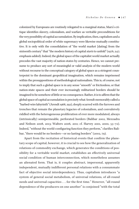colonized by Europeans are routinely relegated to a marginal status, Marx's critique identifies slavery, colonialism, and warfare as veritable preconditions for the very possibility of capital accumulation. By implication, then, capitalism and a global sociopolitical order of white supremacy were likewise mutually constitutive. It is only with the consolidation of "the world market [dating] from the sixteenth century" that "the modern history of capital*starts*to unfold" (1976, 247; emphasis added). Indeed, the global space of the capitalist world market actually precedes the vast majority of nation-states by centuries. Hence, we cannot presume to produce any sort of meaningful or valid analysis of the modern world without recourse to the conceptual category of global space as a stringent counterpoint to the dominant geopolitical imagination, which remains imprisoned within the presuppositions of methodological nationalism. This is, of course, not to imply that such a global space is in any sense "smooth" or frictionless, or that nation-state spaces and their ever increasingly militarized borders should be imagined to be somehow of little or no consequence. Rather, it is to affirm that the global space of capital accumulation is precisely what Arendt memorably called a "barbed-wire labyrinth" (Arendt 1968, 292), deeply scarred with the furrows and trenches that remain the planetary legacies of colonialism, and convulsively riddled with the heterogeneous proliferation of ever more modulated, always (intrinsically) semipermeable, perforated borders (Balibar 2002, Mezzadra and Neilson 2008, 2013; Walters 2006, 2011; cf. Harvey 2001, 2000, 53–72). Indeed, "without the world-configuring function they perform," clarifies Balibar, "there would be no borders—or no lasting borders" (2002, 79).

Apart from the recitation of historical events that confirm the planetary scope of capital, however, it is crucial to see how the generalization of relations of commodity exchange, which generates the conditions of possibility for a veritable world market, establishes an effectively universal social condition of human interconnection, which nonetheless assumes an alienated form. That is, it couples abstract, impersonal, apparently independent, mutually indifferent personal relations with a consummate fact of objective social interdependency. Thus, capitalism introduces "a system of general social metabolism, of universal relations, of all-round needs and universal capacities . . . for the first time." However, "all-round dependence of the producers on one another" is conjoined "with the total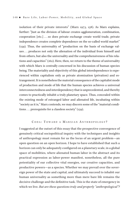#### 148 . Bare Life, Labor-Power, Mobility, and Global Space

isolation of their private interests" (Marx 1973, 158). As Marx explains, further: "Just as the division of labour creates agglomeration, combination, cooperation [etc.] . . . so does private exchange create world trade, private independence creates complete dependence on the so-called world market" (159). Thus, the universality of "production on the basis of exchange values . . . produces not only the alienation of the individual from himself and from others, but also the universality and the comprehensiveness of his relations and capacities" (162). Here, then, we return to the theme of universality with which Marx is centrally concerned in his discussion of human species being. The materiality and objectivity of this global interdependence is experienced within capitalism only as private atomization (privation) and estrangement. It is nonetheless the material consequence of the capitalist mode of production and mode of life that the human species achieves a universal interconnectedness and interdependency that is unprecedented, and thereby comes to practically inhabit a truly planetary space. Thus, concealed within the existing mode of estranged labor and alienated life, incubating within "society as it is," Marx contends, we may discern some of the "material conditions... prerequisite for a classless society" (159).

#### CODA: TOWARD A MARXIAN ANTHROPOLOGY?

I suggested at the outset of this essay that the prospective convergence of genuinely critical sociopolitical inquiry with the techniques and insights of anthropology must remain for us the locus of an urgent problem—an open question on an open horizon. I hope to have established that such a horizon can only be adequately configured on a planetary scale, in a global space of mobilities, where alienated human labor in the abstract and its practical expression as labor-power manifest, nonetheless, all the pure potentiality of our collective vital energies, our creative capacities, and productive powers—as a species. Whether we may prevail over the sovereign power of the state and capital, and ultimately succeed to inhabit our human universality as something more than mere bare life remains the decisive challenge and the definitive task. This is the state of emergency in which we live. *But are these questions truly and properly "anthropological"?*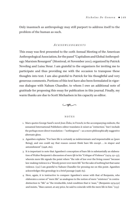Only inasmuch as anthropology may still purport to address itself to the problem of the human as such.

#### *A CKNOWLEDGMENTS*

This essay was first presented to the 110th Annual Meeting of the American Anthropological Association, for the panel "Capitalism and Global Anthropology: Marxism Resurgent" (Montreal, 16 November 2011), organized by Patrick Neveling and Luisa Steur. I am grateful to the organizers for inviting me to participate and thus providing me with the occasion to transpose these thoughts into text. I am also grateful to Patrick for his thoughtful and very generous comments. Portions of this text have also been formulated in vigorous dialogue with Nahum Chandler, to whom I owe an additional note of gratitude for proposing this essay for publication in this journal. Finally, my warm thanks are due to Scott Michaelsen in his capacity as editor.



#### NOTES

- 1. Marx quotes George Sand's novel *Jean Žiska*, in French; in the accompanying endnote, the unnamed International Publishers editor translates *le néant* as "extinction," but I include the perhaps more direct translation—"nothingness"—as a more philosophically suggestive alternate gloss.
- 2. Agamben explains: "For bare life is certainly as indeterminate and impenetrable as [pure Being], and one could say that reason cannot think bare life except . . . in stupor and astonishment" (1998, 182).
- 3. It is important to note that Agamben's conception of bare life is substantially an elaboration of Walter Benjamin's discussion of *mere life* in his "Critique of Violence" (1979, 151–53), wherein mere life signals the point where "the rule of law over the living ceases" because law-making violence is a "bloody power over mere life" for the sake of nothing but that same violence. (151) I am grateful to Nahum Chandler for pressing me on this point. Agamben acknowledges this genealogy in a brief passage (1998, 65).
- 4. Here, again, it is instructive to compare Agamben's sense with that of Benjamin, who elaborates a sense of "mere life" as analogous to the notion of mere "existence" in contradistinction to "life" as "the irreducible, total condition that is 'man,'" (Benjamin 1979,152) and insists, "Man cannot, at any price, be said to coincide with the mere life in him." (153)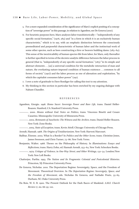- 5. For a more expanded consideration of the significance of Marx's explicit positing of a conception of "sovereign power" in this passage, in relation to Agamben, see De Genova (2010).
- 6. For heuristic purposes here, Marx analyzes labor transhistorically—"independently of any specific social formation,"  $(1976, 283)$  and "in a form in which it is an exclusively human characteristic," which is to say, with an emphatic distinction between the consciously premeditated and purposeful characteristic of human labor and the instinctual work of some other species, such as bees constructing a hive or beavers building dams. (283–84). This sense of the inextricability of human species-life from labor, for Marx, only thereafter is further specified in terms of the decisive analytic difference between the labor process in general (that is, "independently of any specific social formation,"  $(283)$  "in its simple and abstract elements... [as] a universal condition for the metabolic interaction of man and nature, the everlasting nature-imposed condition of human existence... common to all forms of society" (290)) and the labor process as one of alienation and exploitation, "by which the capitalist consumes labor-power" (291).
- 7. I owe a note of gratitude to Dave Roediger for calling this text to my attention.
- 8. My thinking in this section in particular has been enriched by my ongoing dialogue with Nahum Chandler.

#### REFERENCES

Agamben, Giorgio. 1998. *Homo Sacer: Sovereign Power and Bare Life*, trans. Daniel Heller-Roazen. Stanford, CA: Stanford University Press.

. 2000. *Means without End: Notes on Politics*, trans. Vincenzo Binetti and Cesare Casarino. Minneapolis: University of Minnesota Press.

- . 2002. *Remnants of Auschwitz: The Witness and the Archive*, trans. Daniel Heller-Roazen. New York: Zone Books.
- . 2005. *State of Exception*, trans. Kevin Attell. Chicago: University of Chicago Press.
- Arendt, Hannah. 1968. *The Origins of Totalitarianism*. New York: Harvest/Harcourt.
- Balibar, Étienne. 2002. What Is a Border? In *Politics and the Other Scene*, trans. Christine Jones, James Swenson, and Chris Turner, 75–86. New York: Verso.
- Benjamin, Walter. 1968. Theses on the Philosophy of History. In *Illuminations: Essays and Reflections*, trans. Harry Zohn, ed. Hannah Arendt, 253-64. New York: Schocken Books. . 1979. *Critique of Violence,* in *One-Way Street, and Other Writings*, 132–54. London/New
	- York: New Left Books.
- Chatterjee, Partha. 1993. *The Nation and Its Fragments: Colonial and Postcolonial Histories*. Princeton, NJ: Princeton University Press.
- De Genova, Nicholas. 2010. The Deportation Regime: Sovereignty, Space, and the Freedom of Movement. Theoretical Overview. In *The Deportation Regime: Sovereignty, Space, and the Freedom of Movement*, eds. Nicholas De Genova, and Nathalie Peutz, 33–65. Durham, NC: Duke University Press.
- Du Bois, W. E. B. 1900. The Present Outlook for the Dark Races of Mankind. *A.M.E. Church Review* 17, no. 66: 95–110.